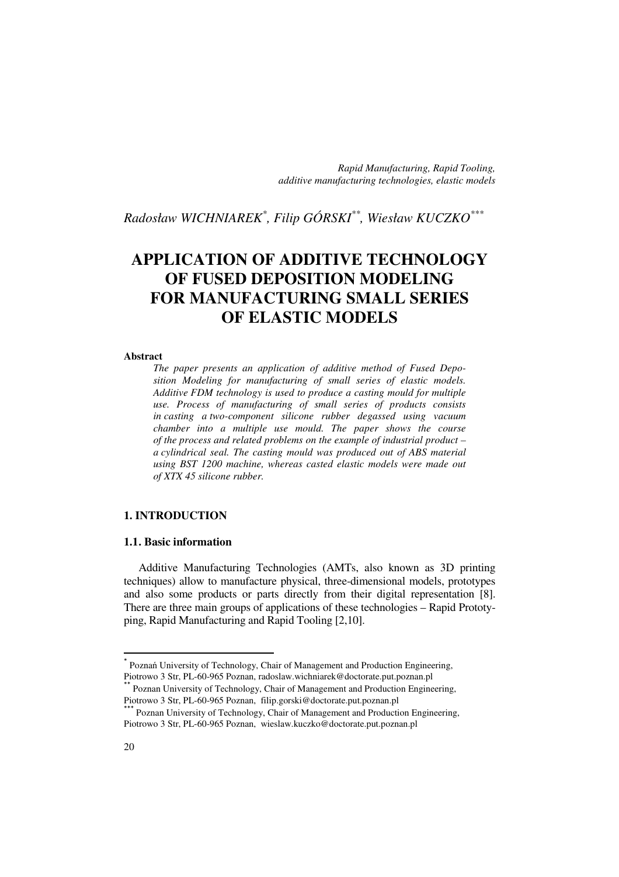*Rapid Manufacturing, Rapid Tooling, additive manufacturing technologies, elastic models*

*Radosław WICHNIAREK\* , Filip GÓRSKI\*\*, Wiesław KUCZKO\*\*\**

# **APPLICATION OF ADDITIVE TECHNOLOGY OF FUSED DEPOSITION MODELING FOR MANUFACTURING SMALL SERIES OF ELASTIC MODELS**

#### **Abstract**

*The paper presents an application of additive method of Fused Deposition Modeling for manufacturing of small series of elastic models. Additive FDM technology is used to produce a casting mould for multiple use. Process of manufacturing of small series of products consists in casting a two-component silicone rubber degassed using vacuum chamber into a multiple use mould. The paper shows the course of the process and related problems on the example of industrial product – a cylindrical seal. The casting mould was produced out of ABS material using BST 1200 machine, whereas casted elastic models were made out of XTX 45 silicone rubber.* 

## **1. INTRODUCTION**

## **1.1. Basic information**

Additive Manufacturing Technologies (AMTs, also known as 3D printing techniques) allow to manufacture physical, three-dimensional models, prototypes and also some products or parts directly from their digital representation [8]. There are three main groups of applications of these technologies – Rapid Prototyping, Rapid Manufacturing and Rapid Tooling [2,10].

 $\overline{a}$ 

<sup>\*</sup> Poznań University of Technology, Chair of Management and Production Engineering, Piotrowo 3 Str, PL-60-965 Poznan, radoslaw.wichniarek@doctorate.put.poznan.pl

Poznan University of Technology, Chair of Management and Production Engineering, Piotrowo 3 Str, PL-60-965 Poznan, filip.gorski@doctorate.put.poznan.pl

<sup>\*</sup> Poznan University of Technology, Chair of Management and Production Engineering, Piotrowo 3 Str, PL-60-965 Poznan, wieslaw.kuczko@doctorate.put.poznan.pl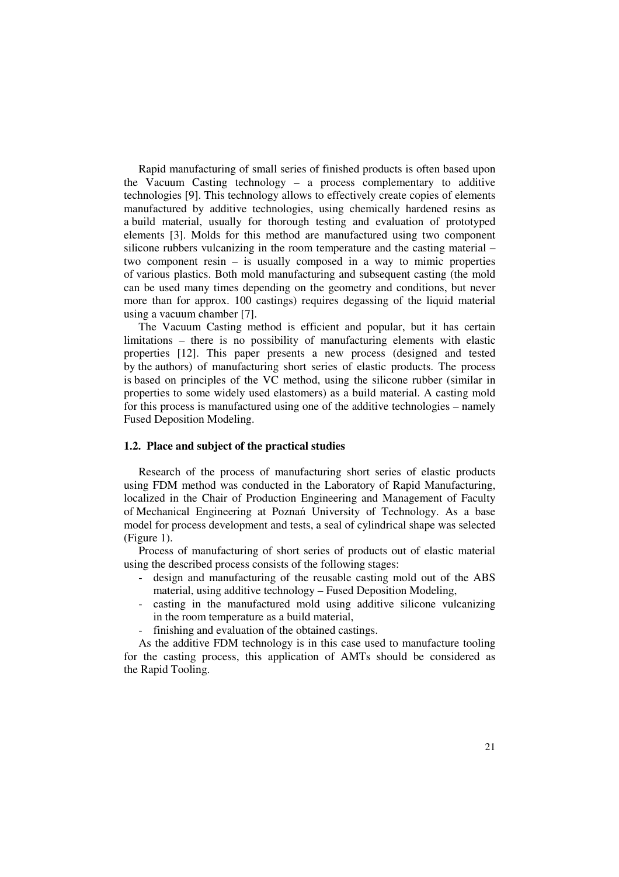Rapid manufacturing of small series of finished products is often based upon the Vacuum Casting technology – a process complementary to additive technologies [9]. This technology allows to effectively create copies of elements manufactured by additive technologies, using chemically hardened resins as a build material, usually for thorough testing and evaluation of prototyped elements [3]. Molds for this method are manufactured using two component silicone rubbers vulcanizing in the room temperature and the casting material – two component resin – is usually composed in a way to mimic properties of various plastics. Both mold manufacturing and subsequent casting (the mold can be used many times depending on the geometry and conditions, but never more than for approx. 100 castings) requires degassing of the liquid material using a vacuum chamber [7].

The Vacuum Casting method is efficient and popular, but it has certain limitations – there is no possibility of manufacturing elements with elastic properties [12]. This paper presents a new process (designed and tested by the authors) of manufacturing short series of elastic products. The process is based on principles of the VC method, using the silicone rubber (similar in properties to some widely used elastomers) as a build material. A casting mold for this process is manufactured using one of the additive technologies – namely Fused Deposition Modeling.

### **1.2. Place and subject of the practical studies**

Research of the process of manufacturing short series of elastic products using FDM method was conducted in the Laboratory of Rapid Manufacturing, localized in the Chair of Production Engineering and Management of Faculty of Mechanical Engineering at Poznań University of Technology. As a base model for process development and tests, a seal of cylindrical shape was selected (Figure 1).

Process of manufacturing of short series of products out of elastic material using the described process consists of the following stages:

- design and manufacturing of the reusable casting mold out of the ABS material, using additive technology – Fused Deposition Modeling,
- casting in the manufactured mold using additive silicone vulcanizing in the room temperature as a build material,
- finishing and evaluation of the obtained castings.

As the additive FDM technology is in this case used to manufacture tooling for the casting process, this application of AMTs should be considered as the Rapid Tooling.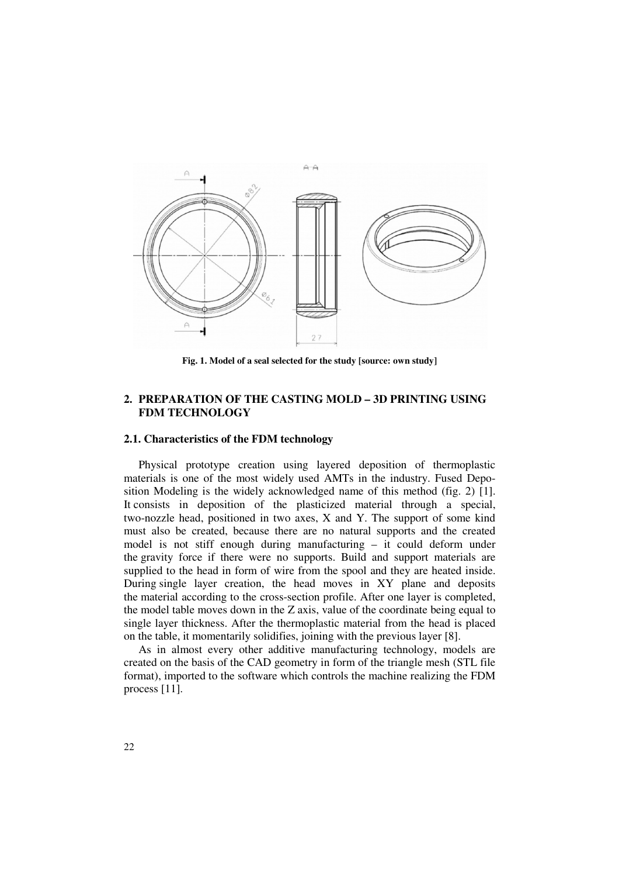

**Fig. 1. Model of a seal selected for the study [source: own study]** 

## **2. PREPARATION OF THE CASTING MOLD – 3D PRINTING USING FDM TECHNOLOGY**

## **2.1. Characteristics of the FDM technology**

Physical prototype creation using layered deposition of thermoplastic materials is one of the most widely used AMTs in the industry. Fused Deposition Modeling is the widely acknowledged name of this method (fig. 2) [1]. It consists in deposition of the plasticized material through a special, two-nozzle head, positioned in two axes, X and Y. The support of some kind must also be created, because there are no natural supports and the created model is not stiff enough during manufacturing – it could deform under the gravity force if there were no supports. Build and support materials are supplied to the head in form of wire from the spool and they are heated inside. During single layer creation, the head moves in XY plane and deposits the material according to the cross-section profile. After one layer is completed, the model table moves down in the Z axis, value of the coordinate being equal to single layer thickness. After the thermoplastic material from the head is placed on the table, it momentarily solidifies, joining with the previous layer [8].

As in almost every other additive manufacturing technology, models are created on the basis of the CAD geometry in form of the triangle mesh (STL file format), imported to the software which controls the machine realizing the FDM process [11].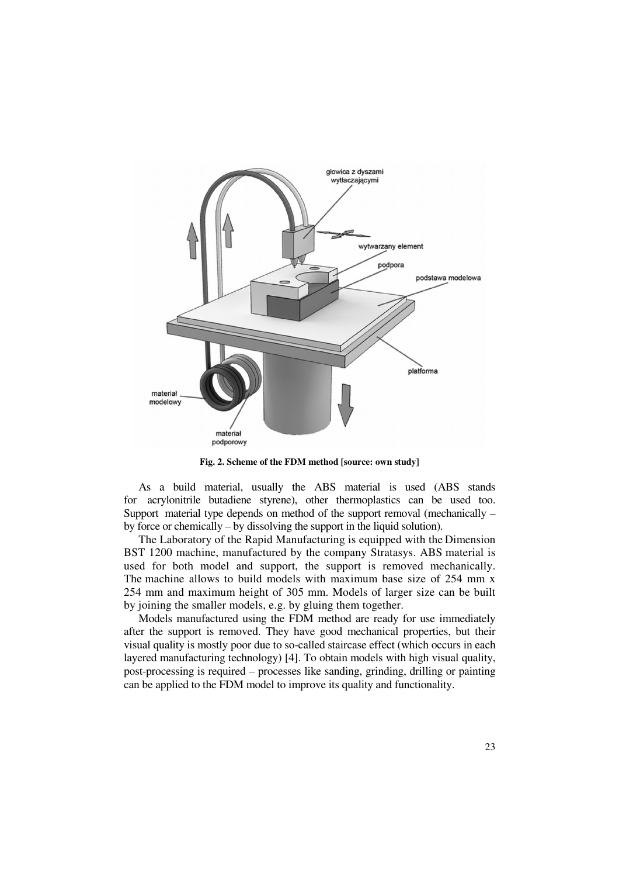

**Fig. 2. Scheme of the FDM method [source: own study]** 

As a build material, usually the ABS material is used (ABS stands for acrylonitrile butadiene styrene), other thermoplastics can be used too. Support material type depends on method of the support removal (mechanically – by force or chemically – by dissolving the support in the liquid solution).

The Laboratory of the Rapid Manufacturing is equipped with the Dimension BST 1200 machine, manufactured by the company Stratasys. ABS material is used for both model and support, the support is removed mechanically. The machine allows to build models with maximum base size of 254 mm x 254 mm and maximum height of 305 mm. Models of larger size can be built by joining the smaller models, e.g. by gluing them together.

Models manufactured using the FDM method are ready for use immediately after the support is removed. They have good mechanical properties, but their visual quality is mostly poor due to so-called staircase effect (which occurs in each layered manufacturing technology) [4]. To obtain models with high visual quality, post-processing is required – processes like sanding, grinding, drilling or painting can be applied to the FDM model to improve its quality and functionality.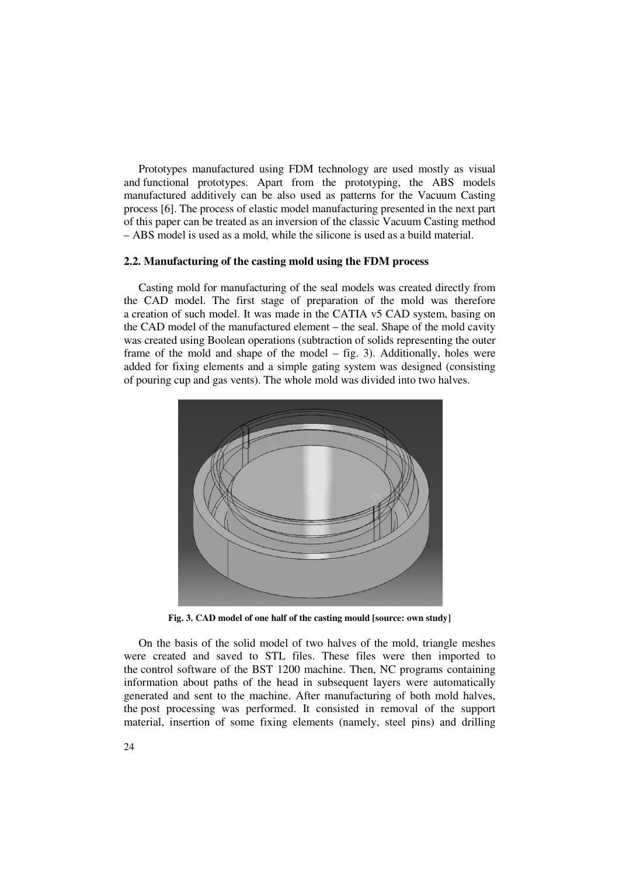Prototypes manufactured using FDM technology are used mostly as visual and functional prototypes. Apart from the prototyping, the ABS models manufactured additively can be also used as patterns for the Vacuum Casting process [6]. The process of elastic model manufacturing presented in the next part of this paper can be treated as an inversion of the classic Vacuum Casting method – ABS model is used as a mold, while the silicone is used as a build material.

### **2.2. Manufacturing of the casting mold using the FDM process**

Casting mold for manufacturing of the seal models was created directly from the CAD model. The first stage of preparation of the mold was therefore a creation of such model. It was made in the CATIA v5 CAD system, basing on the CAD model of the manufactured element – the seal. Shape of the mold cavity was created using Boolean operations (subtraction of solids representing the outer frame of the mold and shape of the model – fig. 3). Additionally, holes were added for fixing elements and a simple gating system was designed (consisting of pouring cup and gas vents). The whole mold was divided into two halves.



**Fig. 3. CAD model of one half of the casting mould [source: own study]** 

On the basis of the solid model of two halves of the mold, triangle meshes were created and saved to STL files. These files were then imported to the control software of the BST 1200 machine. Then, NC programs containing information about paths of the head in subsequent layers were automatically generated and sent to the machine. After manufacturing of both mold halves, the post processing was performed. It consisted in removal of the support material, insertion of some fixing elements (namely, steel pins) and drilling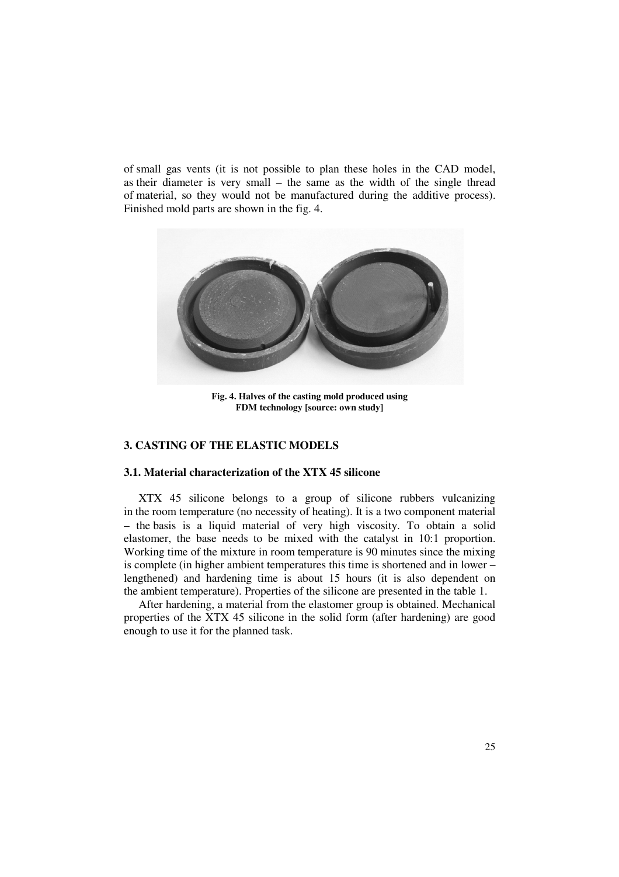of small gas vents (it is not possible to plan these holes in the CAD model, as their diameter is very small – the same as the width of the single thread of material, so they would not be manufactured during the additive process). Finished mold parts are shown in the fig. 4.



**Fig. 4. Halves of the casting mold produced using FDM technology [source: own study]** 

## **3. CASTING OF THE ELASTIC MODELS**

## **3.1. Material characterization of the XTX 45 silicone**

XTX 45 silicone belongs to a group of silicone rubbers vulcanizing in the room temperature (no necessity of heating). It is a two component material – the basis is a liquid material of very high viscosity. To obtain a solid elastomer, the base needs to be mixed with the catalyst in 10:1 proportion. Working time of the mixture in room temperature is 90 minutes since the mixing is complete (in higher ambient temperatures this time is shortened and in lower – lengthened) and hardening time is about 15 hours (it is also dependent on the ambient temperature). Properties of the silicone are presented in the table 1.

After hardening, a material from the elastomer group is obtained. Mechanical properties of the XTX 45 silicone in the solid form (after hardening) are good enough to use it for the planned task.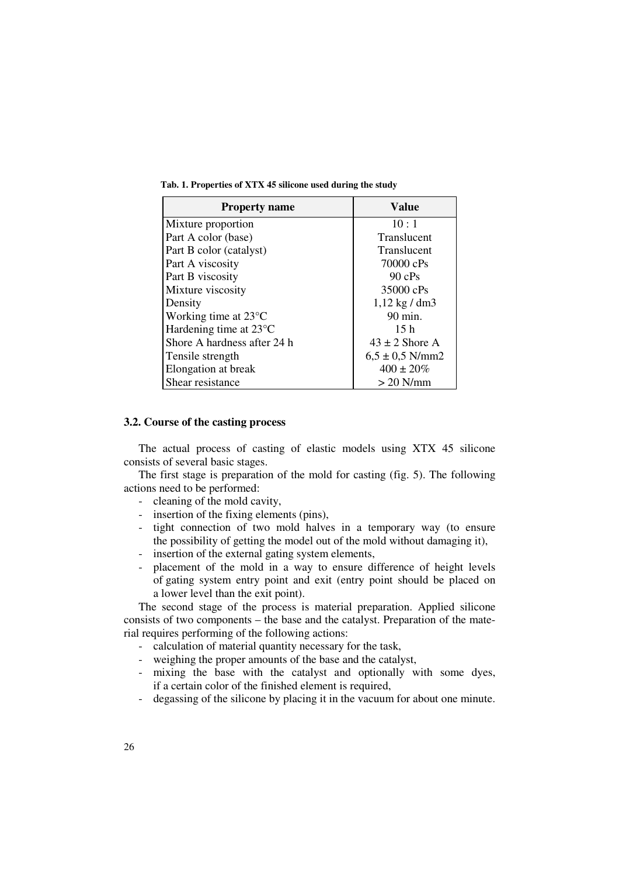**Tab. 1. Properties of XTX 45 silicone used during the study** 

| <b>Property name</b>             | Value                   |
|----------------------------------|-------------------------|
| Mixture proportion               | 10:1                    |
| Part A color (base)              | Translucent             |
| Part B color (catalyst)          | Translucent             |
| Part A viscosity                 | 70000 cPs               |
| Part B viscosity                 | 90 cPs                  |
| Mixture viscosity                | 35000 cPs               |
| Density                          | $1,12 \text{ kg}$ / dm3 |
| Working time at $23^{\circ}$ C   | 90 min.                 |
| Hardening time at $23^{\circ}$ C | 15h                     |
| Shore A hardness after 24 h      | $43 \pm 2$ Shore A      |
| Tensile strength                 | $6,5 \pm 0.5$ N/mm2     |
| Elongation at break              | $400 \pm 20\%$          |
| Shear resistance                 | $> 20$ N/mm             |

#### **3.2. Course of the casting process**

The actual process of casting of elastic models using XTX 45 silicone consists of several basic stages.

The first stage is preparation of the mold for casting (fig. 5). The following actions need to be performed:

- cleaning of the mold cavity,
- insertion of the fixing elements (pins),
- tight connection of two mold halves in a temporary way (to ensure the possibility of getting the model out of the mold without damaging it),
- insertion of the external gating system elements,
- placement of the mold in a way to ensure difference of height levels of gating system entry point and exit (entry point should be placed on a lower level than the exit point).

The second stage of the process is material preparation. Applied silicone consists of two components – the base and the catalyst. Preparation of the material requires performing of the following actions:

- calculation of material quantity necessary for the task,
- weighing the proper amounts of the base and the catalyst,
- mixing the base with the catalyst and optionally with some dyes, if a certain color of the finished element is required,
- degassing of the silicone by placing it in the vacuum for about one minute.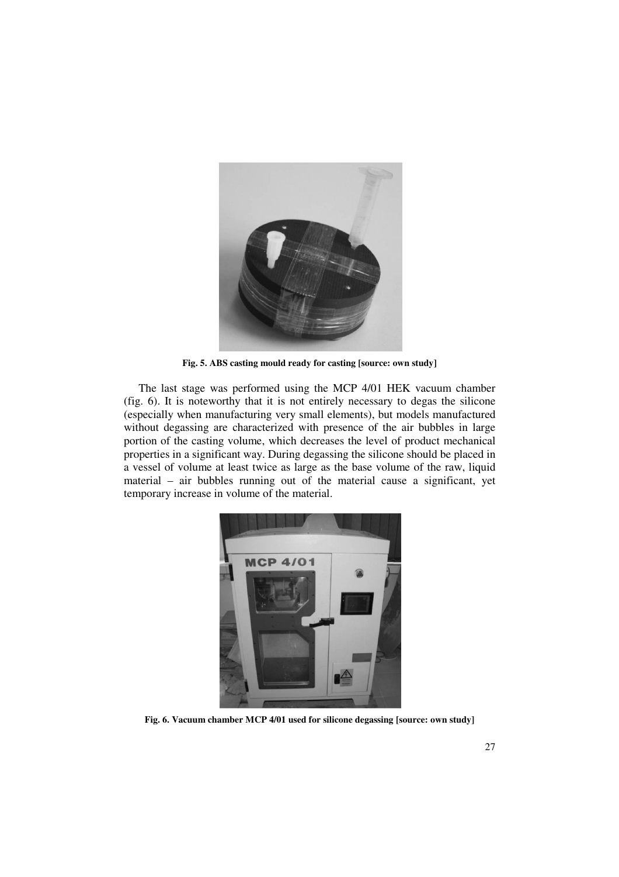

**Fig. 5. ABS casting mould ready for casting [source: own study]** 

The last stage was performed using the MCP 4/01 HEK vacuum chamber (fig. 6). It is noteworthy that it is not entirely necessary to degas the silicone (especially when manufacturing very small elements), but models manufactured without degassing are characterized with presence of the air bubbles in large portion of the casting volume, which decreases the level of product mechanical properties in a significant way. During degassing the silicone should be placed in a vessel of volume at least twice as large as the base volume of the raw, liquid material – air bubbles running out of the material cause a significant, yet temporary increase in volume of the material.



**Fig. 6. Vacuum chamber MCP 4/01 used for silicone degassing [source: own study]**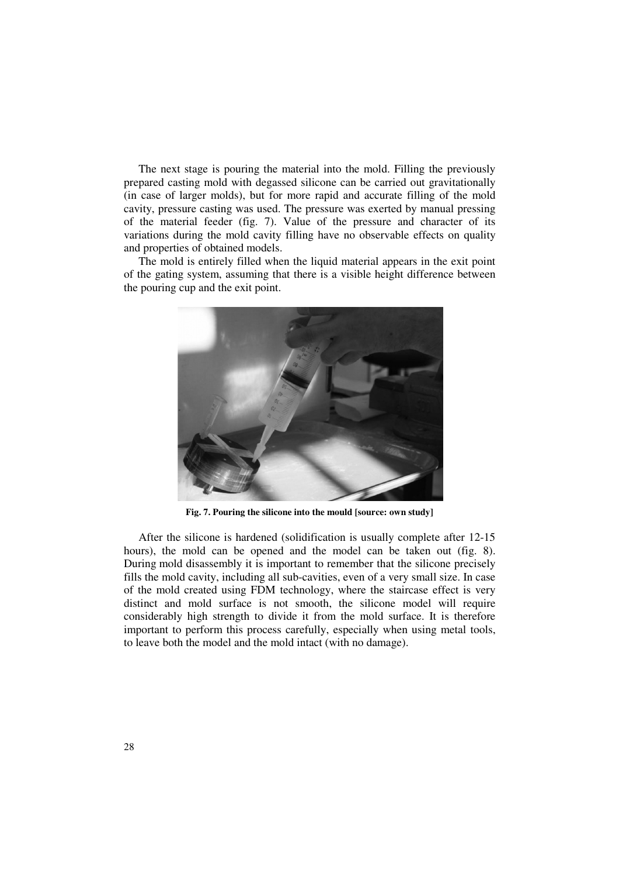The next stage is pouring the material into the mold. Filling the previously prepared casting mold with degassed silicone can be carried out gravitationally (in case of larger molds), but for more rapid and accurate filling of the mold cavity, pressure casting was used. The pressure was exerted by manual pressing of the material feeder (fig. 7). Value of the pressure and character of its variations during the mold cavity filling have no observable effects on quality and properties of obtained models.

The mold is entirely filled when the liquid material appears in the exit point of the gating system, assuming that there is a visible height difference between the pouring cup and the exit point.



**Fig. 7. Pouring the silicone into the mould [source: own study]** 

After the silicone is hardened (solidification is usually complete after 12-15 hours), the mold can be opened and the model can be taken out (fig. 8). During mold disassembly it is important to remember that the silicone precisely fills the mold cavity, including all sub-cavities, even of a very small size. In case of the mold created using FDM technology, where the staircase effect is very distinct and mold surface is not smooth, the silicone model will require considerably high strength to divide it from the mold surface. It is therefore important to perform this process carefully, especially when using metal tools, to leave both the model and the mold intact (with no damage).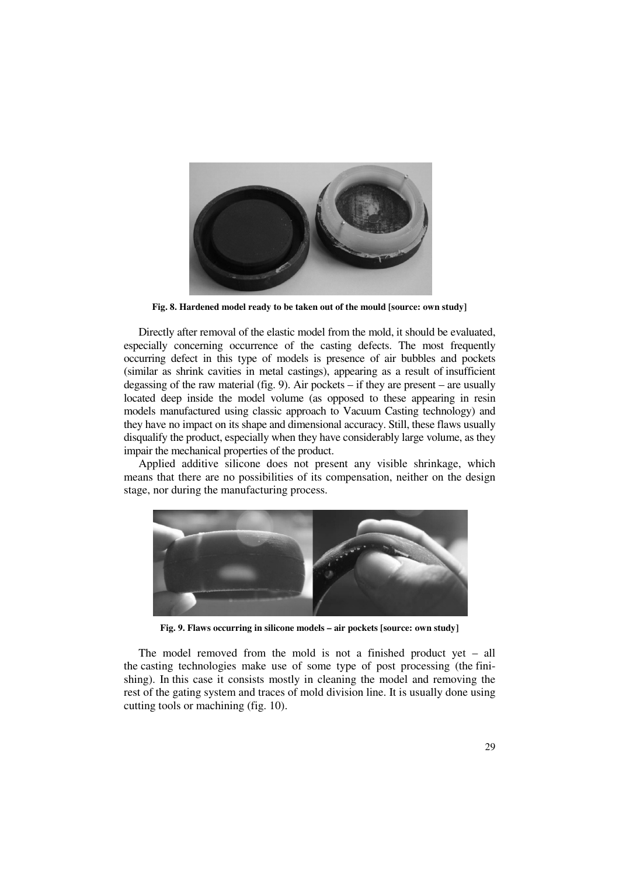

**Fig. 8. Hardened model ready to be taken out of the mould [source: own study]** 

Directly after removal of the elastic model from the mold, it should be evaluated, especially concerning occurrence of the casting defects. The most frequently occurring defect in this type of models is presence of air bubbles and pockets (similar as shrink cavities in metal castings), appearing as a result of insufficient degassing of the raw material (fig. 9). Air pockets  $-$  if they are present  $-$  are usually located deep inside the model volume (as opposed to these appearing in resin models manufactured using classic approach to Vacuum Casting technology) and they have no impact on its shape and dimensional accuracy. Still, these flaws usually disqualify the product, especially when they have considerably large volume, as they impair the mechanical properties of the product.

Applied additive silicone does not present any visible shrinkage, which means that there are no possibilities of its compensation, neither on the design stage, nor during the manufacturing process.



**Fig. 9. Flaws occurring in silicone models – air pockets [source: own study]** 

The model removed from the mold is not a finished product yet – all the casting technologies make use of some type of post processing (the finishing). In this case it consists mostly in cleaning the model and removing the rest of the gating system and traces of mold division line. It is usually done using cutting tools or machining (fig. 10).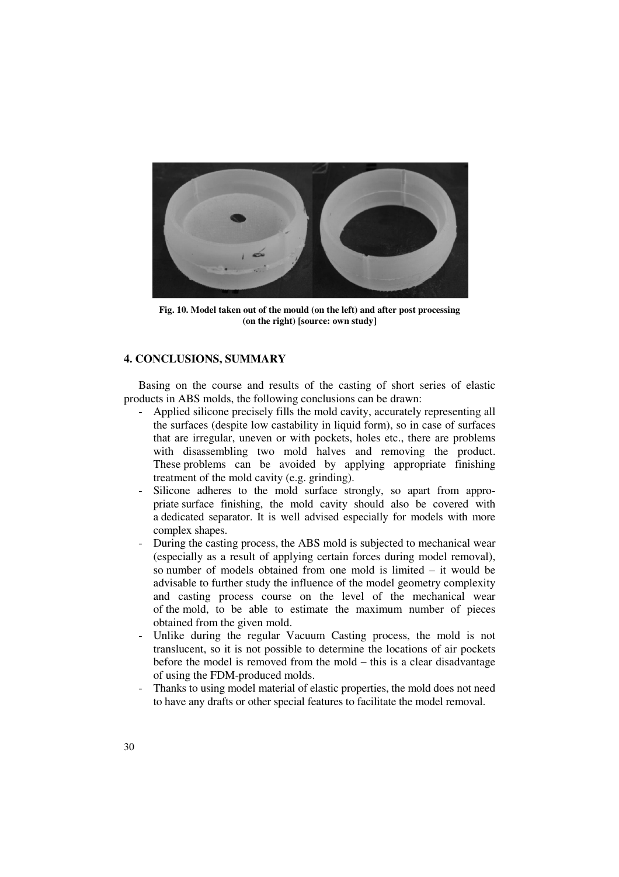

**Fig. 10. Model taken out of the mould (on the left) and after post processing (on the right) [source: own study]** 

## **4. CONCLUSIONS, SUMMARY**

Basing on the course and results of the casting of short series of elastic products in ABS molds, the following conclusions can be drawn:

- Applied silicone precisely fills the mold cavity, accurately representing all the surfaces (despite low castability in liquid form), so in case of surfaces that are irregular, uneven or with pockets, holes etc., there are problems with disassembling two mold halves and removing the product. These problems can be avoided by applying appropriate finishing treatment of the mold cavity (e.g. grinding).
- Silicone adheres to the mold surface strongly, so apart from appropriate surface finishing, the mold cavity should also be covered with a dedicated separator. It is well advised especially for models with more complex shapes.
- During the casting process, the ABS mold is subjected to mechanical wear (especially as a result of applying certain forces during model removal), so number of models obtained from one mold is limited – it would be advisable to further study the influence of the model geometry complexity and casting process course on the level of the mechanical wear of the mold, to be able to estimate the maximum number of pieces obtained from the given mold.
- Unlike during the regular Vacuum Casting process, the mold is not translucent, so it is not possible to determine the locations of air pockets before the model is removed from the mold – this is a clear disadvantage of using the FDM-produced molds.
- Thanks to using model material of elastic properties, the mold does not need to have any drafts or other special features to facilitate the model removal.